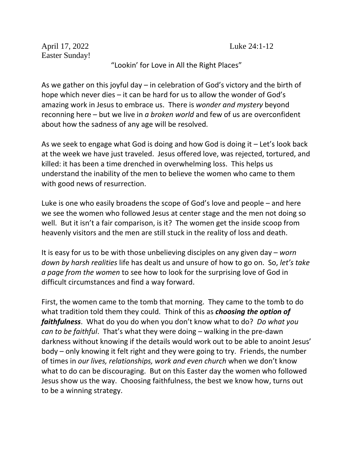April 17, 2022 Luke 24:1-12 Easter Sunday!

## "Lookin' for Love in All the Right Places"

As we gather on this joyful day – in celebration of God's victory and the birth of hope which never dies – it can be hard for us to allow the wonder of God's amazing work in Jesus to embrace us. There is *wonder and mystery* beyond reconning here – but we live in *a broken world* and few of us are overconfident about how the sadness of any age will be resolved.

As we seek to engage what God is doing and how God is doing it – Let's look back at the week we have just traveled. Jesus offered love, was rejected, tortured, and killed: it has been a time drenched in overwhelming loss. This helps us understand the inability of the men to believe the women who came to them with good news of resurrection.

Luke is one who easily broadens the scope of God's love and people – and here we see the women who followed Jesus at center stage and the men not doing so well. But it isn't a fair comparison, is it? The women get the inside scoop from heavenly visitors and the men are still stuck in the reality of loss and death.

It is easy for us to be with those unbelieving disciples on any given day – *worn down by harsh realities* life has dealt us and unsure of how to go on. So, *let's take a page from the women* to see how to look for the surprising love of God in difficult circumstances and find a way forward.

First, the women came to the tomb that morning. They came to the tomb to do what tradition told them they could. Think of this as *choosing the option of faithfulness*. What do you do when you don't know what to do? *Do what you can to be faithful*. That's what they were doing – walking in the pre-dawn darkness without knowing if the details would work out to be able to anoint Jesus' body – only knowing it felt right and they were going to try. Friends, the number of times in *our lives, relationships, work and even church* when we don't know what to do can be discouraging. But on this Easter day the women who followed Jesus show us the way. Choosing faithfulness, the best we know how, turns out to be a winning strategy.